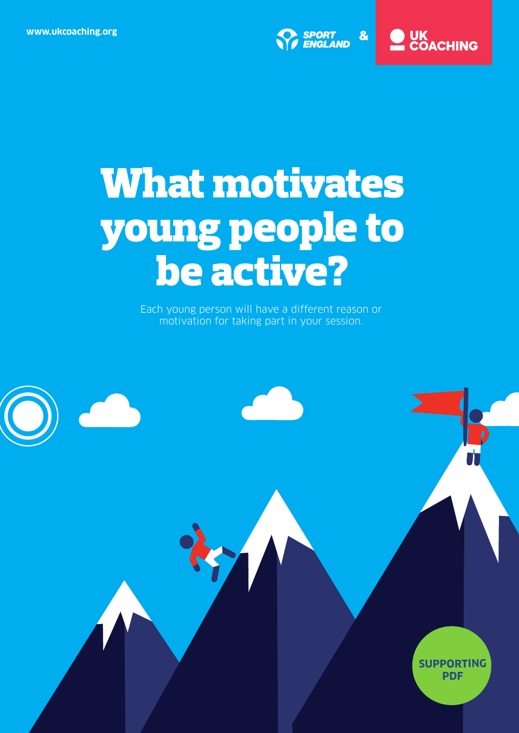

## ) UK<br>LCOACHING

# **What motivates young people to be active?**

Each young person will have a different reason or motivation for taking part in your session.

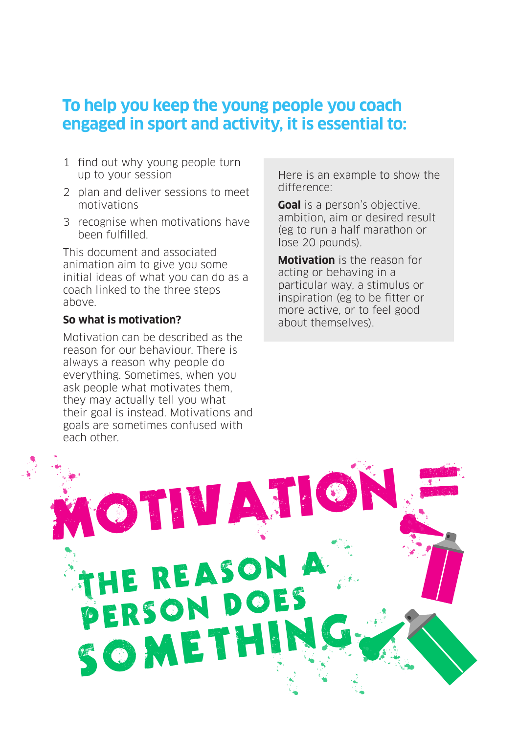### **To help you keep the young people you coach engaged in sport and activity, it is essential to:**

- 1 find out why young people turn up to your session
- 2 plan and deliver sessions to meet motivations
- 3 recognise when motivations have been fulfilled.

This document and associated animation aim to give you some initial ideas of what you can do as a coach linked to the three steps above.

#### **So what is motivation?**

Motivation can be described as the reason for our behaviour. There is always a reason why people do everything. Sometimes, when you ask people what motivates them, they may actually tell you what their goal is instead. Motivations and goals are sometimes confused with each other.

Here is an example to show the difference:

**Goal** is a person's objective, ambition, aim or desired result (eg to run a half marathon or lose 20 pounds).

**Motivation** is the reason for acting or behaving in a particular way, a stimulus or inspiration (eg to be fitter or more active, or to feel good about themselves).

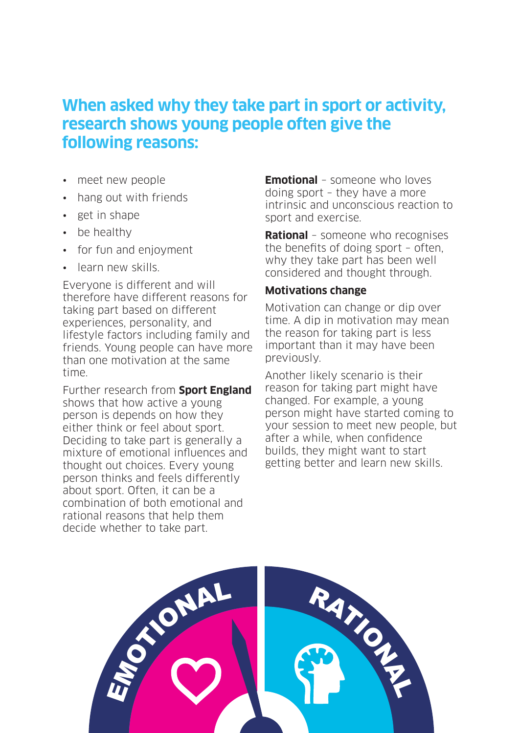### **When asked why they take part in sport or activity, research shows young people often give the following reasons:**

- meet new people
- hang out with friends
- get in shape
- be healthy
- for fun and enjoyment
- learn new skills.

Everyone is different and will therefore have different reasons for taking part based on different experiences, personality, and lifestyle factors including family and friends. Young people can have more than one motivation at the same time.

Further research from **Sport [England](www.sportengland.org/media/10112/youth-insight_under-the-skin.pdf)** shows that how active a young person is depends on how they either think or feel about sport. Deciding to take part is generally a mixture of emotional influences and thought out choices. Every young person thinks and feels differently about sport. Often, it can be a combination of both emotional and rational reasons that help them decide whether to take part.

**Emotional** – someone who loves doing sport – they have a more intrinsic and unconscious reaction to sport and exercise.

**Rational** – someone who recognises the benefits of doing sport – often, why they take part has been well considered and thought through.

#### **Motivations change**

Motivation can change or dip over time. A dip in motivation may mean the reason for taking part is less important than it may have been previously.

Another likely scenario is their reason for taking part might have changed. For example, a young person might have started coming to your session to meet new people, but after a while, when confidence builds, they might want to start getting better and learn new skills.

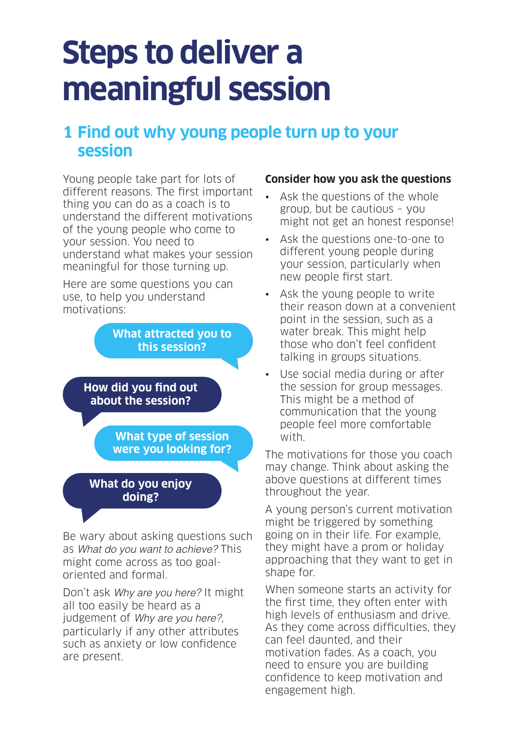## **Steps to deliver a meaningful session**

## **1 Find out why young people turn up to your session**

Young people take part for lots of different reasons. The first important thing you can do as a coach is to understand the different motivations of the young people who come to your session. You need to understand what makes your session meaningful for those turning up.

Here are some questions you can use, to help you understand motivations:

> **What attracted you to this session?**

**How did you find out about the session?**

> **What type of session were you looking for?**

**What do you enjoy doing?**

Be wary about asking questions such as What do you want to achieve? This might come across as too goaloriented and formal.

Don't ask Why are you here? It might all too easily be heard as a judgement of Why are you here?, particularly if any other attributes such as anxiety or low confidence are present.

### **Consider how you ask the questions**

- Ask the questions of the whole group, but be cautious – you might not get an honest response!
- Ask the questions one-to-one to different young people during your session, particularly when new people first start.
- Ask the young people to write their reason down at a convenient point in the session, such as a water break. This might help those who don't feel confident talking in groups situations.
- Use social media during or after the session for group messages. This might be a method of communication that the young people feel more comfortable with.

The motivations for those you coach may change. Think about asking the above questions at different times throughout the year.

A young person's current motivation might be triggered by something going on in their life. For example, they might have a prom or holiday approaching that they want to get in shape for.

When someone starts an activity for the first time, they often enter with high levels of enthusiasm and drive. As they come across difficulties, they can feel daunted, and their motivation fades. As a coach, you need to ensure you are building confidence to keep motivation and engagement high.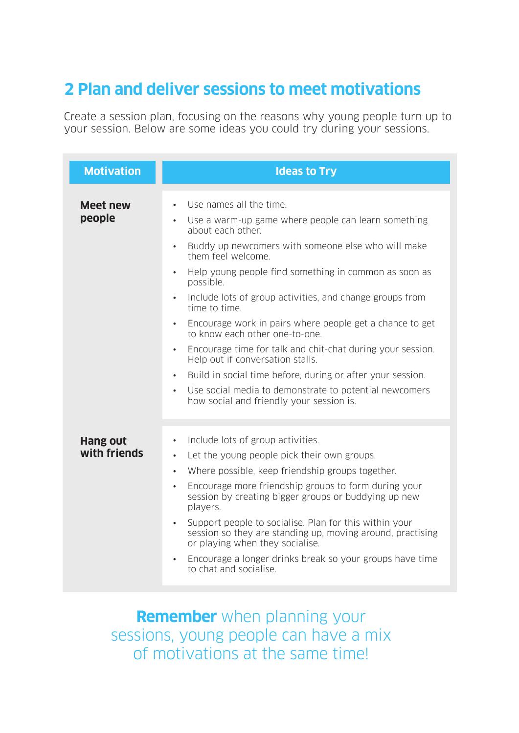## **2 Plan and deliver sessions to meet motivations**

Create a session plan, focusing on the reasons why young people turn up to your session. Below are some ideas you could try during your sessions.

| <b>Motivation</b>               | <b>Ideas to Try</b>                                                                                                                                                                                                                                                                                                                                                                                                                                                                                                                                                                                                                                                                                                                                                     |
|---------------------------------|-------------------------------------------------------------------------------------------------------------------------------------------------------------------------------------------------------------------------------------------------------------------------------------------------------------------------------------------------------------------------------------------------------------------------------------------------------------------------------------------------------------------------------------------------------------------------------------------------------------------------------------------------------------------------------------------------------------------------------------------------------------------------|
| <b>Meet new</b><br>people       | Use names all the time.<br>$\bullet$<br>Use a warm-up game where people can learn something<br>$\bullet$<br>about each other.<br>Buddy up newcomers with someone else who will make<br>them feel welcome.<br>Help young people find something in common as soon as<br>$\bullet$<br>possible.<br>Include lots of group activities, and change groups from<br>time to time.<br>Encourage work in pairs where people get a chance to get<br>to know each other one-to-one.<br>Encourage time for talk and chit-chat during your session.<br>$\bullet$<br>Help out if conversation stalls.<br>Build in social time before, during or after your session.<br>$\bullet$<br>Use social media to demonstrate to potential newcomers<br>how social and friendly your session is. |
| <b>Hang out</b><br>with friends | Include lots of group activities.<br>$\bullet$<br>Let the young people pick their own groups.<br>$\bullet$<br>Where possible, keep friendship groups together.<br>$\bullet$<br>Encourage more friendship groups to form during your<br>session by creating bigger groups or buddying up new<br>players.<br>Support people to socialise. Plan for this within your<br>session so they are standing up, moving around, practising<br>or playing when they socialise.<br>Encourage a longer drinks break so your groups have time<br>$\bullet$<br>to chat and socialise.                                                                                                                                                                                                   |

**Remember** when planning your sessions, young people can have a mix of motivations at the same time!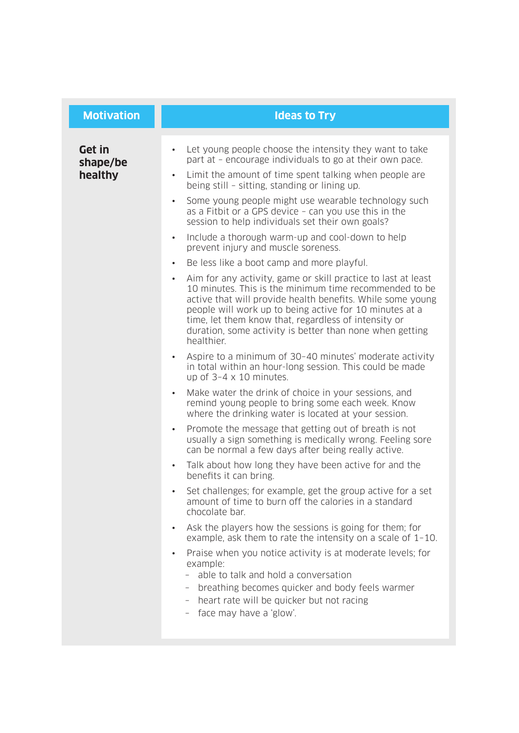| Let young people choose the intensity they want to take<br><b>Get in</b><br>$\bullet$<br>part at - encourage individuals to go at their own pace.<br>shape/be<br>healthy<br>Limit the amount of time spent talking when people are<br>$\bullet$<br>being still - sitting, standing or lining up.<br>Some young people might use wearable technology such<br>as a Fitbit or a GPS device - can you use this in the<br>session to help individuals set their own goals?<br>Include a thorough warm-up and cool-down to help<br>$\bullet$<br>prevent injury and muscle soreness.<br>Be less like a boot camp and more playful.<br>$\bullet$<br>Aim for any activity, game or skill practice to last at least<br>$\bullet$<br>10 minutes. This is the minimum time recommended to be<br>active that will provide health benefits. While some young<br>people will work up to being active for 10 minutes at a<br>time, let them know that, regardless of intensity or<br>duration, some activity is better than none when getting<br>healthier.<br>Aspire to a minimum of 30-40 minutes' moderate activity<br>in total within an hour-long session. This could be made<br>up of $3-4 \times 10$ minutes.<br>Make water the drink of choice in your sessions, and<br>remind young people to bring some each week. Know<br>where the drinking water is located at your session.<br>Promote the message that getting out of breath is not<br>usually a sign something is medically wrong. Feeling sore<br>can be normal a few days after being really active.<br>Talk about how long they have been active for and the<br>$\bullet$<br>benefits it can bring.<br>Set challenges; for example, get the group active for a set<br>amount of time to burn off the calories in a standard<br>chocolate bar.<br>Ask the players how the sessions is going for them; for<br>example, ask them to rate the intensity on a scale of $1-10$ . |
|-------------------------------------------------------------------------------------------------------------------------------------------------------------------------------------------------------------------------------------------------------------------------------------------------------------------------------------------------------------------------------------------------------------------------------------------------------------------------------------------------------------------------------------------------------------------------------------------------------------------------------------------------------------------------------------------------------------------------------------------------------------------------------------------------------------------------------------------------------------------------------------------------------------------------------------------------------------------------------------------------------------------------------------------------------------------------------------------------------------------------------------------------------------------------------------------------------------------------------------------------------------------------------------------------------------------------------------------------------------------------------------------------------------------------------------------------------------------------------------------------------------------------------------------------------------------------------------------------------------------------------------------------------------------------------------------------------------------------------------------------------------------------------------------------------------------------------------------------------------------------------------------------------------------------------|
| Praise when you notice activity is at moderate levels; for<br>example:<br>able to talk and hold a conversation<br>breathing becomes quicker and body feels warmer<br>$ \,$<br>heart rate will be quicker but not racing<br>- face may have a 'glow'.                                                                                                                                                                                                                                                                                                                                                                                                                                                                                                                                                                                                                                                                                                                                                                                                                                                                                                                                                                                                                                                                                                                                                                                                                                                                                                                                                                                                                                                                                                                                                                                                                                                                          |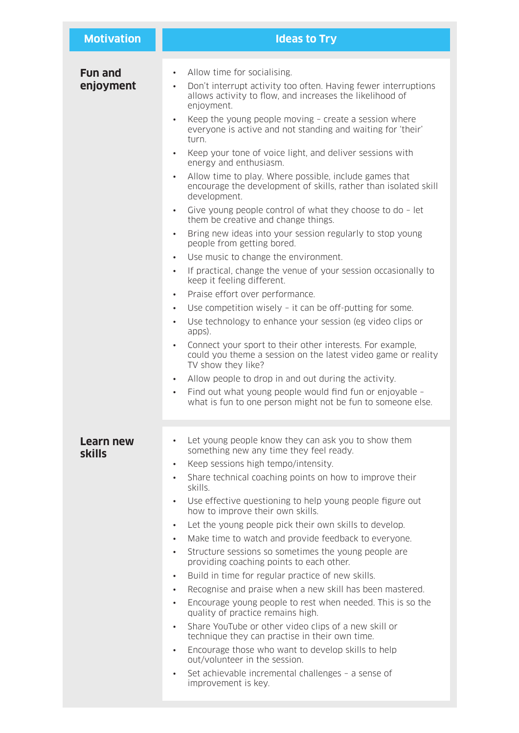| <b>Motivation</b>           | <b>Ideas to Try</b>                                                                                                                                                                                                                                                                                                                                                                                                                                                                                                                                                                                                                                                                                                                                                                                                                                                                                                                                                                                                                                                                                                                                                                                                                                                                                                                                                                                                                                                                                                                                                                                |
|-----------------------------|----------------------------------------------------------------------------------------------------------------------------------------------------------------------------------------------------------------------------------------------------------------------------------------------------------------------------------------------------------------------------------------------------------------------------------------------------------------------------------------------------------------------------------------------------------------------------------------------------------------------------------------------------------------------------------------------------------------------------------------------------------------------------------------------------------------------------------------------------------------------------------------------------------------------------------------------------------------------------------------------------------------------------------------------------------------------------------------------------------------------------------------------------------------------------------------------------------------------------------------------------------------------------------------------------------------------------------------------------------------------------------------------------------------------------------------------------------------------------------------------------------------------------------------------------------------------------------------------------|
| <b>Fun and</b><br>enjoyment | Allow time for socialising.<br>$\bullet$<br>Don't interrupt activity too often. Having fewer interruptions<br>$\bullet$<br>allows activity to flow, and increases the likelihood of<br>enjoyment.<br>Keep the young people moving - create a session where<br>$\bullet$<br>everyone is active and not standing and waiting for 'their'<br>turn.<br>Keep your tone of voice light, and deliver sessions with<br>$\bullet$<br>energy and enthusiasm.<br>Allow time to play. Where possible, include games that<br>$\bullet$<br>encourage the development of skills, rather than isolated skill<br>development.<br>Give young people control of what they choose to do - let<br>$\bullet$<br>them be creative and change things.<br>Bring new ideas into your session regularly to stop young<br>$\bullet$<br>people from getting bored.<br>Use music to change the environment.<br>$\bullet$<br>If practical, change the venue of your session occasionally to<br>$\bullet$<br>keep it feeling different.<br>Praise effort over performance.<br>$\bullet$<br>Use competition wisely - it can be off-putting for some.<br>$\bullet$<br>Use technology to enhance your session (eg video clips or<br>$\bullet$<br>apps).<br>Connect your sport to their other interests. For example,<br>$\bullet$<br>could you theme a session on the latest video game or reality<br>TV show they like?<br>Allow people to drop in and out during the activity.<br>$\bullet$<br>Find out what young people would find fun or enjoyable -<br>$\bullet$<br>what is fun to one person might not be fun to someone else. |
| Learn new<br><b>skills</b>  | Let young people know they can ask you to show them<br>$\bullet$<br>something new any time they feel ready.<br>Keep sessions high tempo/intensity.<br>$\bullet$<br>Share technical coaching points on how to improve their<br>$\bullet$<br>skills.<br>Use effective questioning to help young people figure out<br>$\bullet$<br>how to improve their own skills.<br>Let the young people pick their own skills to develop.<br>$\bullet$<br>Make time to watch and provide feedback to everyone.<br>$\bullet$<br>Structure sessions so sometimes the young people are<br>$\bullet$<br>providing coaching points to each other.<br>Build in time for regular practice of new skills.<br>$\bullet$<br>Recognise and praise when a new skill has been mastered.<br>$\bullet$<br>Encourage young people to rest when needed. This is so the<br>$\bullet$<br>quality of practice remains high.<br>Share YouTube or other video clips of a new skill or<br>$\bullet$<br>technique they can practise in their own time.<br>Encourage those who want to develop skills to help<br>$\bullet$<br>out/volunteer in the session.<br>Set achievable incremental challenges - a sense of<br>$\bullet$<br>improvement is key.                                                                                                                                                                                                                                                                                                                                                                                      |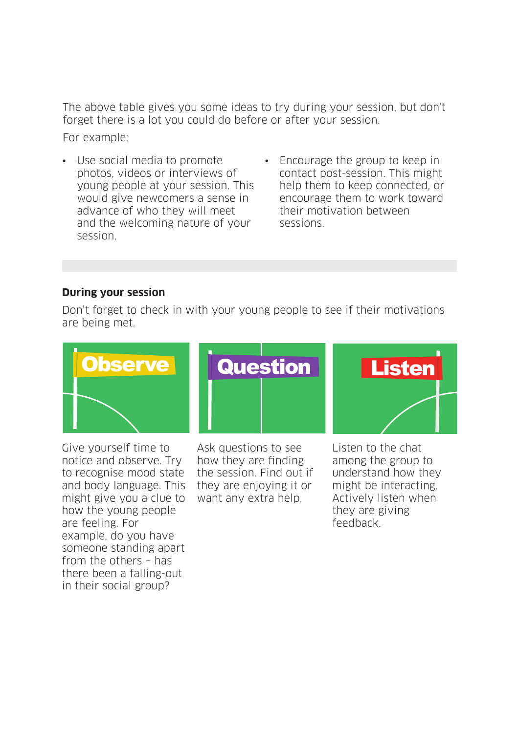The above table gives you some ideas to try during your session, but don't forget there is a lot you could do before or after your session.

For example:

- Use social media to promote photos, videos or interviews of young people at your session. This would give newcomers a sense in advance of who they will meet and the welcoming nature of your session.
- Encourage the group to keep in contact post-session. This might help them to keep connected, or encourage them to work toward their motivation between sessions.

### **During your session**

Don't forget to check in with your young people to see if their motivations are being met.



Give yourself time to notice and observe. Try to recognise mood state and body language. This might give you a clue to how the young people are feeling. For example, do you have someone standing apart from the others – has there been a falling-out in their social group?

Ask questions to see how they are finding the session. Find out if they are enjoying it or want any extra help.

Listen to the chat among the group to understand how they might be interacting. Actively listen when they are giving feedback.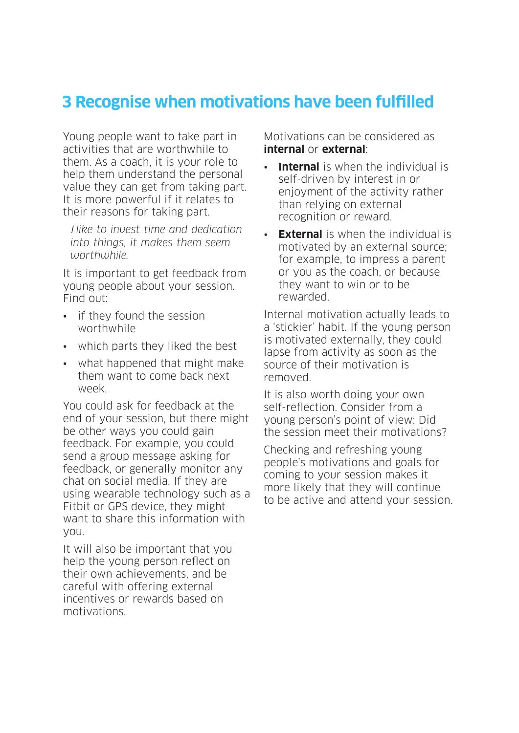## **3 Recognise when motivations have been fulfilled**

Young people want to take part in activities that are worthwhile to them. As a coach, it is your role to help them understand the personal value they can get from taking part. It is more powerful if it relates to their reasons for taking part.

 I *like to invest time and dedication into things, it makes them seem worthwhile.*

It is important to get feedback from young people about your session. Find out:

- if they found the session worthwhile
- which parts they liked the best
- what happened that might make them want to come back next week.

You could ask for feedback at the end of your session, but there might be other ways you could gain feedback. For example, you could send a group message asking for feedback, or generally monitor any chat on social media. If they are using wearable technology such as a Fitbit or GPS device, they might want to share this information with you.

It will also be important that you help the young person reflect on their own achievements, and be careful with offering external incentives or rewards based on motivations.

Motivations can be considered as **internal** or **external**:

- **Internal** is when the individual is self-driven by interest in or enjoyment of the activity rather than relying on external recognition or reward.
- **External** is when the individual is motivated by an external source; for example, to impress a parent or you as the coach, or because they want to win or to be rewarded.

Internal motivation actually leads to a 'stickier' habit. If the young person is motivated externally, they could lapse from activity as soon as the source of their motivation is removed.

It is also worth doing your own self-reflection. Consider from a young person's point of view: Did the session meet their motivations?

Checking and refreshing young people's motivations and goals for coming to your session makes it more likely that they will continue to be active and attend your session.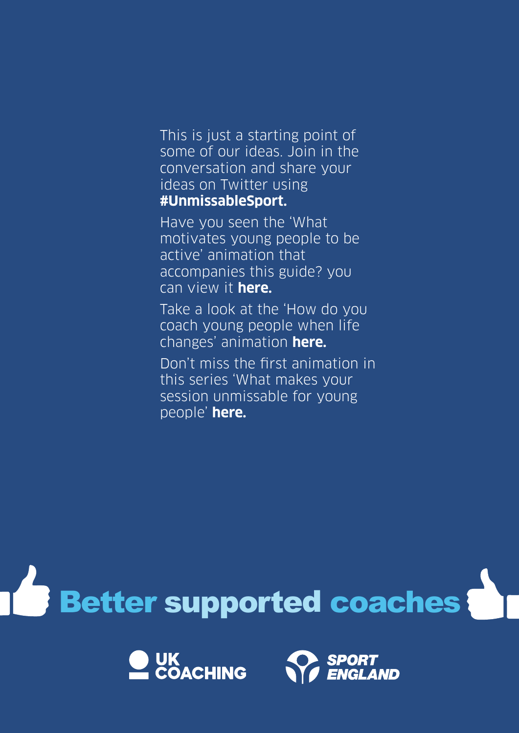This is just a starting point of some of our ideas. Join in the conversation and share your ideas on Twitter using **#UnmissableSport.**

Have you seen the 'What motivates young people to be active' animation that accompanies this guide? you can view it **[here.](http://www.sportscoachuk.org/coaches/resource-bank/coaching-participation/youth-participation/what-motivates-young-people-be-acti)**

Take a look at the 'How do you coach young people when life changes' animation **[here.](http://www.sportscoachuk.org/coaches/resource-bank/coaching-participation/youth-participation/how-do-you-coach-young-people-when-)**

Don't miss the first animation in this series 'What makes your session unmissable for young people' **[here.](http://www.sportscoachuk.org/coaches/resource-bank/coaching-participation/youth-participation/what-makes-your-session-unmissable)**